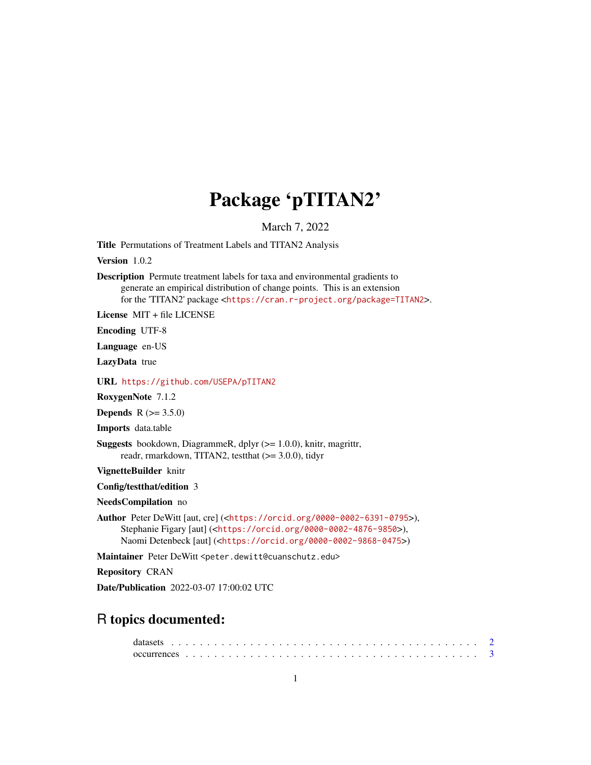## Package 'pTITAN2'

March 7, 2022

<span id="page-0-0"></span>Title Permutations of Treatment Labels and TITAN2 Analysis

Version 1.0.2

Description Permute treatment labels for taxa and environmental gradients to generate an empirical distribution of change points. This is an extension for the 'TITAN2' package <<https://cran.r-project.org/package=TITAN2>>.

License MIT + file LICENSE

Encoding UTF-8

Language en-US

LazyData true

URL <https://github.com/USEPA/pTITAN2>

RoxygenNote 7.1.2

**Depends**  $R (= 3.5.0)$ 

Imports data.table

Suggests bookdown, DiagrammeR, dplyr (>= 1.0.0), knitr, magrittr, readr, rmarkdown, TITAN2, testthat (>= 3.0.0), tidyr

VignetteBuilder knitr

Config/testthat/edition 3

NeedsCompilation no

```
Author Peter DeWitt [aut, cre] (<https://orcid.org/0000-0002-6391-0795>),
     Stephanie Figary [aut] (<https://orcid.org/0000-0002-4876-9850>),
     Naomi Detenbeck [aut] (<https://orcid.org/0000-0002-9868-0475>)
```
Maintainer Peter DeWitt <peter.dewitt@cuanschutz.edu>

Repository CRAN

Date/Publication 2022-03-07 17:00:02 UTC

## R topics documented: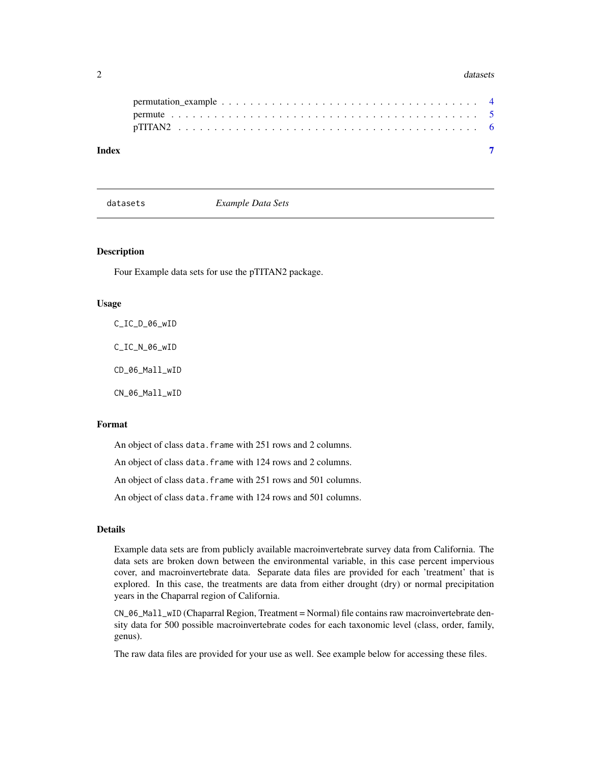#### <span id="page-1-0"></span> $2 \times 2$

| Index |  |  |  |  |  |  |  |  |  |  |  |  |  |  |  |  |  |  |
|-------|--|--|--|--|--|--|--|--|--|--|--|--|--|--|--|--|--|--|

datasets *Example Data Sets*

#### Description

Four Example data sets for use the pTITAN2 package.

#### Usage

C\_IC\_D\_06\_wID C\_IC\_N\_06\_wID CD\_06\_Mall\_wID CN\_06\_Mall\_wID

## Format

An object of class data. frame with 251 rows and 2 columns.

An object of class data. frame with 124 rows and 2 columns.

An object of class data. frame with 251 rows and 501 columns.

An object of class data. frame with 124 rows and 501 columns.

## Details

Example data sets are from publicly available macroinvertebrate survey data from California. The data sets are broken down between the environmental variable, in this case percent impervious cover, and macroinvertebrate data. Separate data files are provided for each 'treatment' that is explored. In this case, the treatments are data from either drought (dry) or normal precipitation years in the Chaparral region of California.

CN\_06\_Mall\_wID (Chaparral Region, Treatment = Normal) file contains raw macroinvertebrate density data for 500 possible macroinvertebrate codes for each taxonomic level (class, order, family, genus).

The raw data files are provided for your use as well. See example below for accessing these files.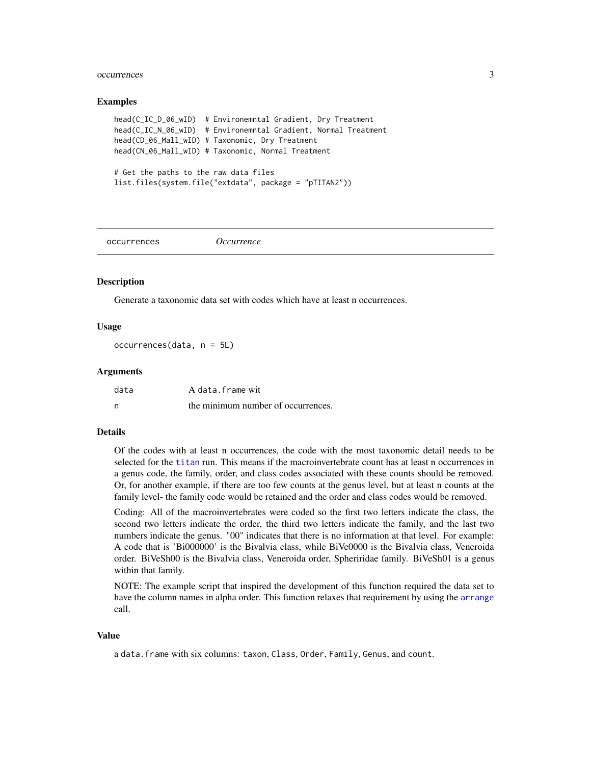#### <span id="page-2-0"></span>occurrences 3

#### Examples

```
head(C_IC_D_06_wID) # Environemntal Gradient, Dry Treatment
head(C_IC_N_06_wID) # Environemntal Gradient, Normal Treatment
head(CD_06_Mall_wID) # Taxonomic, Dry Treatment
head(CN_06_Mall_wID) # Taxonomic, Normal Treatment
# Get the paths to the raw data files
list.files(system.file("extdata", package = "pTITAN2"))
```
occurrences *Occurrence*

## **Description**

Generate a taxonomic data set with codes which have at least n occurrences.

## Usage

occurrences(data, n = 5L)

#### Arguments

| data | A data.frame wit                   |
|------|------------------------------------|
| n    | the minimum number of occurrences. |

## Details

Of the codes with at least n occurrences, the code with the most taxonomic detail needs to be selected for the [titan](#page-0-0) run. This means if the macroinvertebrate count has at least n occurrences in a genus code, the family, order, and class codes associated with these counts should be removed. Or, for another example, if there are too few counts at the genus level, but at least n counts at the family level- the family code would be retained and the order and class codes would be removed.

Coding: All of the macroinvertebrates were coded so the first two letters indicate the class, the second two letters indicate the order, the third two letters indicate the family, and the last two numbers indicate the genus. "00" indicates that there is no information at that level. For example: A code that is 'Bi000000' is the Bivalvia class, while BiVe0000 is the Bivalvia class, Veneroida order. BiVeSh00 is the Bivalvia class, Veneroida order, Spheriridae family. BiVeSh01 is a genus within that family.

NOTE: The example script that inspired the development of this function required the data set to have the column names in alpha order. This function relaxes that requirement by using the [arrange](#page-0-0) call.

#### Value

a data.frame with six columns: taxon, Class, Order, Family, Genus, and count.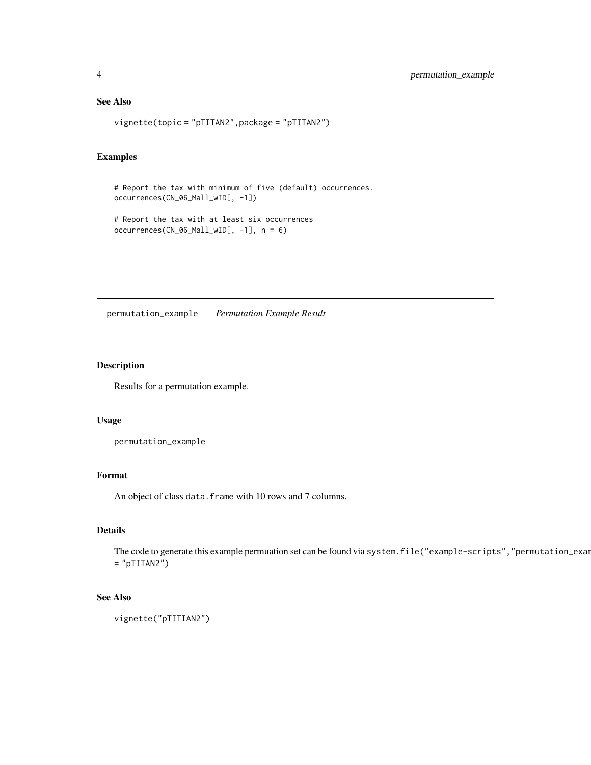## <span id="page-3-0"></span>See Also

vignette(topic = "pTITAN2",package = "pTITAN2")

## Examples

```
# Report the tax with minimum of five (default) occurrences.
occurrences(CN_06_Mall_wID[, -1])
```

```
# Report the tax with at least six occurrences
occurrences(CN_06_Mall_wID[, -1], n = 6)
```
permutation\_example *Permutation Example Result*

## Description

Results for a permutation example.

#### Usage

permutation\_example

## Format

An object of class data. frame with 10 rows and 7 columns.

## Details

The code to generate this example permuation set can be found via system.file("example-scripts","permutation\_exam  $=$  "pTITAN2")

## See Also

```
vignette("pTITIAN2")
```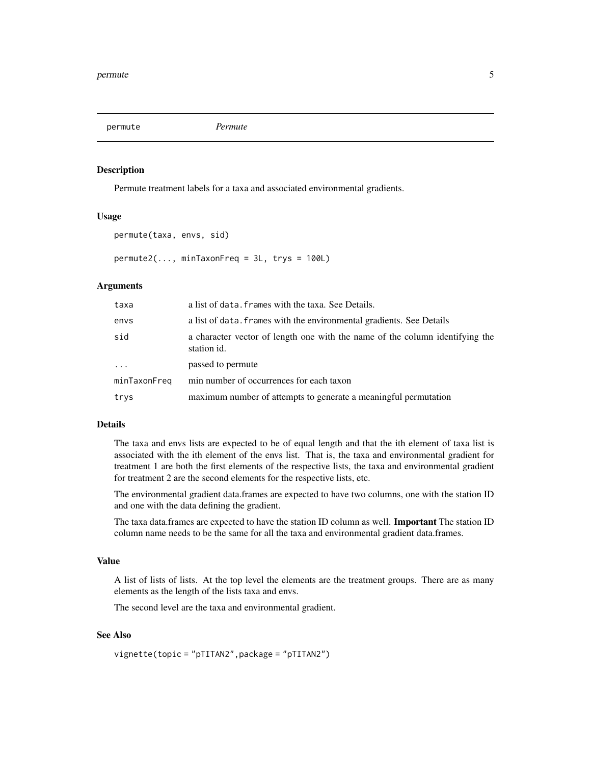<span id="page-4-0"></span>permute *Permute*

## Description

Permute treatment labels for a taxa and associated environmental gradients.

#### Usage

```
permute(taxa, envs, sid)
```
 $permute2(..., minTaxonFreq = 3L, trys = 100L)$ 

## Arguments

| taxa                    | a list of data. Frames with the taxa. See Details.                                          |
|-------------------------|---------------------------------------------------------------------------------------------|
| envs                    | a list of data. Frames with the environmental gradients. See Details                        |
| sid                     | a character vector of length one with the name of the column identifying the<br>station id. |
| $\cdot$ $\cdot$ $\cdot$ | passed to permute                                                                           |
| minTaxonFreq            | min number of occurrences for each taxon                                                    |
| trys                    | maximum number of attempts to generate a meaningful permutation                             |

## Details

The taxa and envs lists are expected to be of equal length and that the ith element of taxa list is associated with the ith element of the envs list. That is, the taxa and environmental gradient for treatment 1 are both the first elements of the respective lists, the taxa and environmental gradient for treatment 2 are the second elements for the respective lists, etc.

The environmental gradient data.frames are expected to have two columns, one with the station ID and one with the data defining the gradient.

The taxa data.frames are expected to have the station ID column as well. Important The station ID column name needs to be the same for all the taxa and environmental gradient data.frames.

#### Value

A list of lists of lists. At the top level the elements are the treatment groups. There are as many elements as the length of the lists taxa and envs.

The second level are the taxa and environmental gradient.

## See Also

```
vignette(topic = "pTITAN2",package = "pTITAN2")
```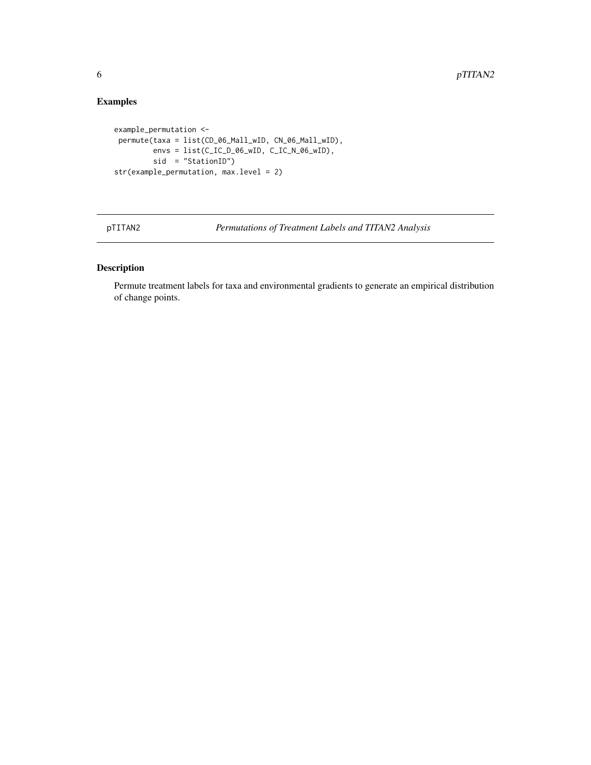## Examples

```
example_permutation <-
permute(taxa = list(CD_06_Mall_wID, CN_06_Mall_wID),
        envs = list(C_IC_D_06_wID, C_IC_N_06_wID),
        sid = "StationID")
str(example_permutation, max.level = 2)
```
pTITAN2 *Permutations of Treatment Labels and TITAN2 Analysis*

## Description

Permute treatment labels for taxa and environmental gradients to generate an empirical distribution of change points.

<span id="page-5-0"></span>